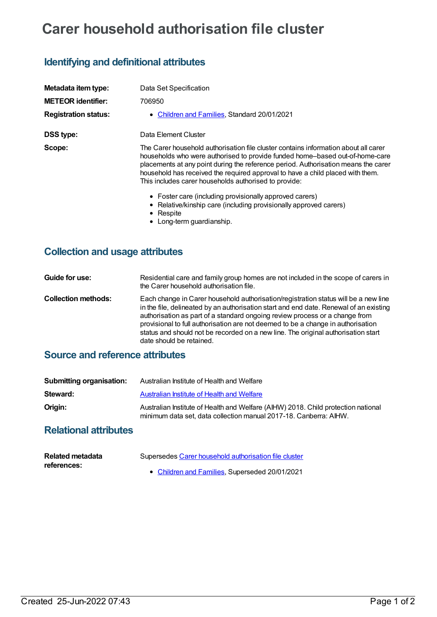# **Carer household authorisation file cluster**

### **Identifying and definitional attributes**

| Metadata item type:         | Data Set Specification                                                                                                                                                                                                                                                                                                                                                                               |
|-----------------------------|------------------------------------------------------------------------------------------------------------------------------------------------------------------------------------------------------------------------------------------------------------------------------------------------------------------------------------------------------------------------------------------------------|
| <b>METEOR identifier:</b>   | 706950                                                                                                                                                                                                                                                                                                                                                                                               |
| <b>Registration status:</b> | • Children and Families, Standard 20/01/2021                                                                                                                                                                                                                                                                                                                                                         |
| <b>DSS type:</b>            | Data Element Cluster                                                                                                                                                                                                                                                                                                                                                                                 |
| Scope:                      | The Carer household authorisation file cluster contains information about all carer<br>households who were authorised to provide funded home-based out-of-home-care<br>placements at any point during the reference period. Authorisation means the carer<br>household has received the required approval to have a child placed with them.<br>This includes carer households authorised to provide: |
|                             | • Foster care (including provisionally approved carers)<br>• Relative/kinship care (including provisionally approved carers)<br>• Respite                                                                                                                                                                                                                                                            |

• Long-term guardianship.

#### **Collection and usage attributes**

**Guide for use:** Residential care and family group homes are not included in the scope of carers in the Carer household authorisation file. **Collection methods:** Each change in Carer household authorisation/registration status will be a new line in the file, delineated by an authorisation start and end date. Renewal of an existing authorisation as part of a standard ongoing review process or a change from provisional to full authorisation are not deemed to be a change in authorisation status and should not be recorded on a new line. The original authorisation start date should be retained.

#### **Source and reference attributes**

| Submitting organisation: | Australian Institute of Health and Welfare                                                                                                             |
|--------------------------|--------------------------------------------------------------------------------------------------------------------------------------------------------|
| Steward:                 | Australian Institute of Health and Welfare                                                                                                             |
| Origin:                  | Australian Institute of Health and Welfare (AIHW) 2018. Child protection national<br>minimum data set, data collection manual 2017-18. Canberra: AIHW. |

#### **Relational attributes**

| <b>Related metadata</b> | Supersedes Carer household authorisation file cluster |  |  |
|-------------------------|-------------------------------------------------------|--|--|
| references:             | • Children and Families, Superseded 20/01/2021        |  |  |